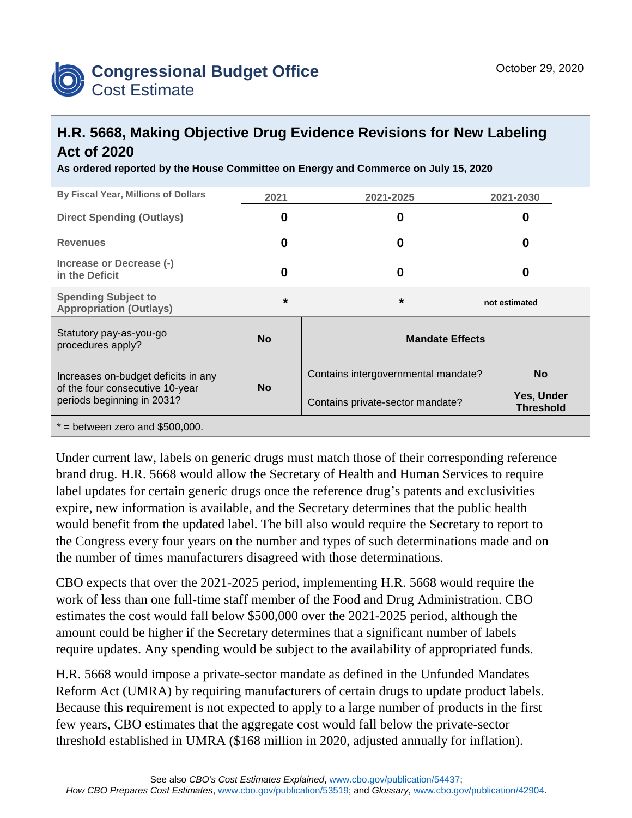

## **H.R. 5668, Making Objective Drug Evidence Revisions for New Labeling Act of 2020**

**As ordered reported by the House Committee on Energy and Commerce on July 15, 2020**

| <b>By Fiscal Year, Millions of Dollars</b>                                                           | 2021      | 2021-2025                           | 2021-2030                      |
|------------------------------------------------------------------------------------------------------|-----------|-------------------------------------|--------------------------------|
| <b>Direct Spending (Outlays)</b>                                                                     | 0         | 0                                   | O                              |
| <b>Revenues</b>                                                                                      | 0         | 0                                   | 0                              |
| Increase or Decrease (-)<br>in the Deficit                                                           | 0         | 0                                   | O                              |
| <b>Spending Subject to</b><br><b>Appropriation (Outlays)</b>                                         | $\star$   | $\star$                             | not estimated                  |
| Statutory pay-as-you-go<br>procedures apply?                                                         | <b>No</b> | <b>Mandate Effects</b>              |                                |
| Increases on-budget deficits in any<br>of the four consecutive 10-year<br>periods beginning in 2031? | <b>No</b> | Contains intergovernmental mandate? | <b>No</b>                      |
|                                                                                                      |           | Contains private-sector mandate?    | Yes, Under<br><b>Threshold</b> |
| $*$ = between zero and \$500,000.                                                                    |           |                                     |                                |

Under current law, labels on generic drugs must match those of their corresponding reference brand drug. H.R. 5668 would allow the Secretary of Health and Human Services to require label updates for certain generic drugs once the reference drug's patents and exclusivities expire, new information is available, and the Secretary determines that the public health would benefit from the updated label. The bill also would require the Secretary to report to the Congress every four years on the number and types of such determinations made and on the number of times manufacturers disagreed with those determinations.

CBO expects that over the 2021-2025 period, implementing H.R. 5668 would require the work of less than one full-time staff member of the Food and Drug Administration. CBO estimates the cost would fall below \$500,000 over the 2021-2025 period, although the amount could be higher if the Secretary determines that a significant number of labels require updates. Any spending would be subject to the availability of appropriated funds.

H.R. 5668 would impose a private-sector mandate as defined in the Unfunded Mandates Reform Act (UMRA) by requiring manufacturers of certain drugs to update product labels. Because this requirement is not expected to apply to a large number of products in the first few years, CBO estimates that the aggregate cost would fall below the private-sector threshold established in UMRA (\$168 million in 2020, adjusted annually for inflation).